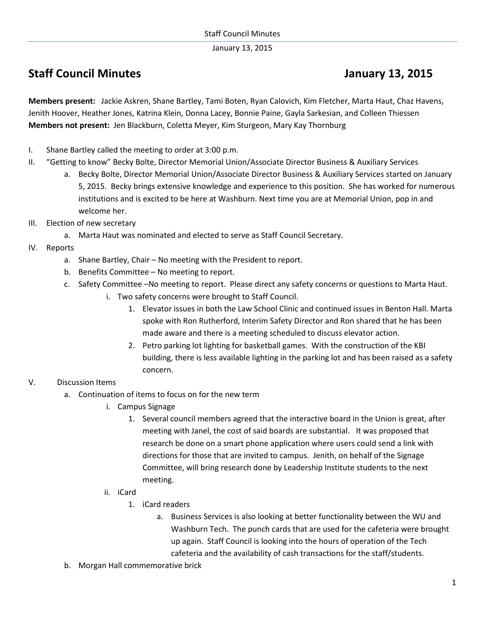January 13, 2015

## **Staff Council Minutes Council Minutes Accord Council Minutes Accord Council Minutes Accord Council Minutes Accord Council Minutes Accord Council Minutes Accord Council Minutes Accord Council Minutes Accord Council Minutes**

**Members present:** Jackie Askren, Shane Bartley, Tami Boten, Ryan Calovich, Kim Fletcher, Marta Haut, Chaz Havens, Jenith Hoover, Heather Jones, Katrina Klein, Donna Lacey, Bonnie Paine, Gayla Sarkesian, and Colleen Thiessen **Members not present:** Jen Blackburn, Coletta Meyer, Kim Sturgeon, Mary Kay Thornburg

- I. Shane Bartley called the meeting to order at 3:00 p.m.
- II. "Getting to know" Becky Bolte, Director Memorial Union/Associate Director Business & Auxiliary Services
	- a. Becky Bolte, Director Memorial Union/Associate Director Business & Auxiliary Services started on January 5, 2015. Becky brings extensive knowledge and experience to this position. She has worked for numerous institutions and is excited to be here at Washburn. Next time you are at Memorial Union, pop in and welcome her.
- III. Election of new secretary
	- a. Marta Haut was nominated and elected to serve as Staff Council Secretary.
- IV. Reports
	- a. Shane Bartley, Chair No meeting with the President to report.
	- b. Benefits Committee No meeting to report.
	- c. Safety Committee –No meeting to report. Please direct any safety concerns or questions to Marta Haut.
		- i. Two safety concerns were brought to Staff Council.
			- 1. Elevator issues in both the Law School Clinic and continued issues in Benton Hall. Marta spoke with Ron Rutherford, Interim Safety Director and Ron shared that he has been made aware and there is a meeting scheduled to discuss elevator action.
			- 2. Petro parking lot lighting for basketball games. With the construction of the KBI building, there is less available lighting in the parking lot and has been raised as a safety concern.

## V. Discussion Items

- a. Continuation of items to focus on for the new term
	- i. Campus Signage
		- 1. Several council members agreed that the interactive board in the Union is great, after meeting with Janel, the cost of said boards are substantial. It was proposed that research be done on a smart phone application where users could send a link with directions for those that are invited to campus. Jenith, on behalf of the Signage Committee, will bring research done by Leadership Institute students to the next meeting.
	- ii. iCard
		- 1. iCard readers
			- a. Business Services is also looking at better functionality between the WU and Washburn Tech. The punch cards that are used for the cafeteria were brought up again. Staff Council is looking into the hours of operation of the Tech cafeteria and the availability of cash transactions for the staff/students.
- b. Morgan Hall commemorative brick